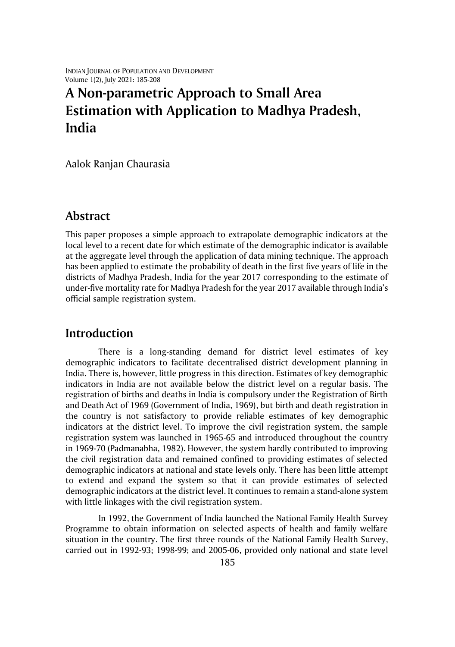INDIAN JOURNAL OF POPULATION AND DEVELOPMENT Volume 1(2), July 2021: 185-208

# **A Non-parametric Approach to Small Area Estimation with Application to Madhya Pradesh, India**

Aalok Ranjan Chaurasia

# **Abstract**

This paper proposes a simple approach to extrapolate demographic indicators at the local level to a recent date for which estimate of the demographic indicator is available at the aggregate level through the application of data mining technique. The approach has been applied to estimate the probability of death in the first five years of life in the districts of Madhya Pradesh, India for the year 2017 corresponding to the estimate of under-five mortality rate for Madhya Pradesh for the year 2017 available through India's official sample registration system.

# **Introduction**

There is a long-standing demand for district level estimates of key demographic indicators to facilitate decentralised district development planning in India. There is, however, little progress in this direction. Estimates of key demographic indicators in India are not available below the district level on a regular basis. The registration of births and deaths in India is compulsory under the Registration of Birth and Death Act of 1969 (Government of India, 1969), but birth and death registration in the country is not satisfactory to provide reliable estimates of key demographic indicators at the district level. To improve the civil registration system, the sample registration system was launched in 1965-65 and introduced throughout the country in 1969-70 (Padmanabha, 1982). However, the system hardly contributed to improving the civil registration data and remained confined to providing estimates of selected demographic indicators at national and state levels only. There has been little attempt to extend and expand the system so that it can provide estimates of selected demographic indicators at the district level. It continues to remain a stand-alone system with little linkages with the civil registration system.

In 1992, the Government of India launched the National Family Health Survey Programme to obtain information on selected aspects of health and family welfare situation in the country. The first three rounds of the National Family Health Survey, carried out in 1992-93; 1998-99; and 2005-06, provided only national and state level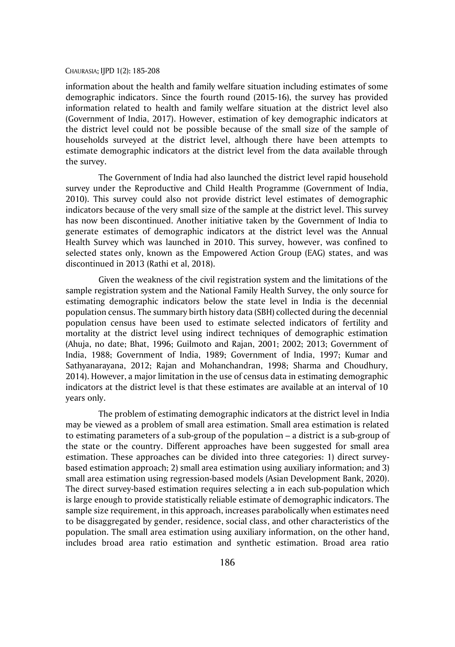information about the health and family welfare situation including estimates of some demographic indicators. Since the fourth round (2015-16), the survey has provided information related to health and family welfare situation at the district level also (Government of India, 2017). However, estimation of key demographic indicators at the district level could not be possible because of the small size of the sample of households surveyed at the district level, although there have been attempts to estimate demographic indicators at the district level from the data available through the survey.

The Government of India had also launched the district level rapid household survey under the Reproductive and Child Health Programme (Government of India, 2010). This survey could also not provide district level estimates of demographic indicators because of the very small size of the sample at the district level. This survey has now been discontinued. Another initiative taken by the Government of India to generate estimates of demographic indicators at the district level was the Annual Health Survey which was launched in 2010. This survey, however, was confined to selected states only, known as the Empowered Action Group (EAG) states, and was discontinued in 2013 (Rathi et al, 2018).

Given the weakness of the civil registration system and the limitations of the sample registration system and the National Family Health Survey, the only source for estimating demographic indicators below the state level in India is the decennial population census. The summary birth history data (SBH) collected during the decennial population census have been used to estimate selected indicators of fertility and mortality at the district level using indirect techniques of demographic estimation (Ahuja, no date; Bhat, 1996; Guilmoto and Rajan, 2001; 2002; 2013; Government of India, 1988; Government of India, 1989; Government of India, 1997; Kumar and Sathyanarayana, 2012; Rajan and Mohanchandran, 1998; Sharma and Choudhury, 2014). However, a major limitation in the use of census data in estimating demographic indicators at the district level is that these estimates are available at an interval of 10 years only.

The problem of estimating demographic indicators at the district level in India may be viewed as a problem of small area estimation. Small area estimation is related to estimating parameters of a sub-group of the population – a district is a sub-group of the state or the country. Different approaches have been suggested for small area estimation. These approaches can be divided into three categories: 1) direct surveybased estimation approach; 2) small area estimation using auxiliary information; and 3) small area estimation using regression-based models (Asian Development Bank, 2020). The direct survey-based estimation requires selecting a in each sub-population which is large enough to provide statistically reliable estimate of demographic indicators. The sample size requirement, in this approach, increases parabolically when estimates need to be disaggregated by gender, residence, social class, and other characteristics of the population. The small area estimation using auxiliary information, on the other hand, includes broad area ratio estimation and synthetic estimation. Broad area ratio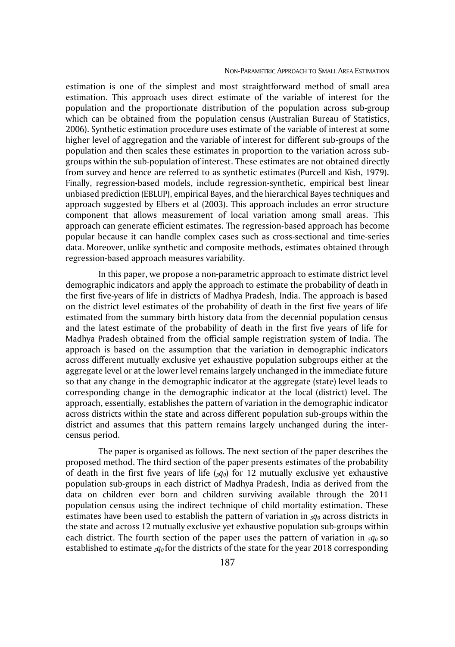#### NON-PARAMETRIC APPROACH TO SMALL AREA ESTIMATION

estimation is one of the simplest and most straightforward method of small area estimation. This approach uses direct estimate of the variable of interest for the population and the proportionate distribution of the population across sub-group which can be obtained from the population census (Australian Bureau of Statistics, 2006). Synthetic estimation procedure uses estimate of the variable of interest at some higher level of aggregation and the variable of interest for different sub-groups of the population and then scales these estimates in proportion to the variation across subgroups within the sub-population of interest. These estimates are not obtained directly from survey and hence are referred to as synthetic estimates (Purcell and Kish, 1979). Finally, regression-based models, include regression-synthetic, empirical best linear unbiased prediction (EBLUP), empirical Bayes, and the hierarchical Bayes techniques and approach suggested by Elbers et al (2003). This approach includes an error structure component that allows measurement of local variation among small areas. This approach can generate efficient estimates. The regression-based approach has become popular because it can handle complex cases such as cross-sectional and time-series data. Moreover, unlike synthetic and composite methods, estimates obtained through regression-based approach measures variability.

In this paper, we propose a non-parametric approach to estimate district level demographic indicators and apply the approach to estimate the probability of death in the first five-years of life in districts of Madhya Pradesh, India. The approach is based on the district level estimates of the probability of death in the first five years of life estimated from the summary birth history data from the decennial population census and the latest estimate of the probability of death in the first five years of life for Madhya Pradesh obtained from the official sample registration system of India. The approach is based on the assumption that the variation in demographic indicators across different mutually exclusive yet exhaustive population subgroups either at the aggregate level or at the lower level remains largely unchanged in the immediate future so that any change in the demographic indicator at the aggregate (state) level leads to corresponding change in the demographic indicator at the local (district) level. The approach, essentially, establishes the pattern of variation in the demographic indicator across districts within the state and across different population sub-groups within the district and assumes that this pattern remains largely unchanged during the intercensus period.

The paper is organised as follows. The next section of the paper describes the proposed method. The third section of the paper presents estimates of the probability of death in the first five years of life (*5q0*) for 12 mutually exclusive yet exhaustive population sub-groups in each district of Madhya Pradesh, India as derived from the data on children ever born and children surviving available through the 2011 population census using the indirect technique of child mortality estimation. These estimates have been used to establish the pattern of variation in *5q<sup>0</sup>* across districts in the state and across 12 mutually exclusive yet exhaustive population sub-groups within each district. The fourth section of the paper uses the pattern of variation in *5q<sup>0</sup>* so established to estimate *5q<sup>0</sup>* for the districts of the state for the year 2018 corresponding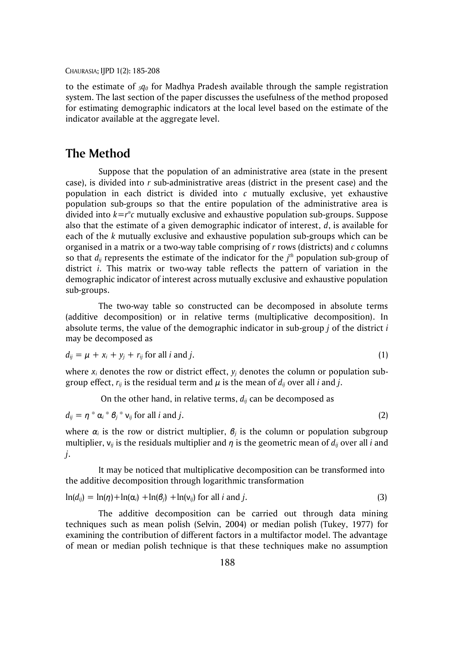to the estimate of *5q<sup>0</sup>* for Madhya Pradesh available through the sample registration system. The last section of the paper discusses the usefulness of the method proposed for estimating demographic indicators at the local level based on the estimate of the indicator available at the aggregate level.

# **The Method**

Suppose that the population of an administrative area (state in the present case), is divided into *r* sub-administrative areas (district in the present case) and the population in each district is divided into *c* mutually exclusive, yet exhaustive population sub-groups so that the entire population of the administrative area is divided into *k=r*\**c* mutually exclusive and exhaustive population sub-groups. Suppose also that the estimate of a given demographic indicator of interest, *d*, is available for each of the *k* mutually exclusive and exhaustive population sub-groups which can be organised in a matrix or a two-way table comprising of *r* rows (districts) and *c* columns so that  $d_{ij}$  represents the estimate of the indicator for the  $j<sup>th</sup>$  population sub-group of district *i*. This matrix or two-way table reflects the pattern of variation in the demographic indicator of interest across mutually exclusive and exhaustive population sub-groups.

The two-way table so constructed can be decomposed in absolute terms (additive decomposition) or in relative terms (multiplicative decomposition). In absolute terms, the value of the demographic indicator in sub-group *j* of the district *i* may be decomposed as

$$
d_{ij} = \mu + x_i + y_j + r_{ij} \text{ for all } i \text{ and } j. \tag{1}
$$

where  $x_i$  denotes the row or district effect,  $y_i$  denotes the column or population subgroup effect,  $r_{ij}$  is the residual term and  $\mu$  is the mean of  $d_{ij}$  over all *i* and *j*.

On the other hand, in relative terms, *dij* can be decomposed as

 $d_{ij} = \eta * \alpha_i * \beta_j * v_{ij}$  for all *i* and *j*. (2)

where  $\alpha_i$  is the row or district multiplier,  $\beta_i$  is the column or population subgroup multiplier, ν*ij* is the residuals multiplier and *η* is the geometric mean of *dij* over all *i* and *j*.

It may be noticed that multiplicative decomposition can be transformed into the additive decomposition through logarithmic transformation

$$
\ln(d_{ij}) = \ln(\eta) + \ln(\alpha_i) + \ln(\beta_j) + \ln(v_{ij})
$$
 for all *i* and *j*. (3)

The additive decomposition can be carried out through data mining techniques such as mean polish (Selvin, 2004) or median polish (Tukey, 1977) for examining the contribution of different factors in a multifactor model. The advantage of mean or median polish technique is that these techniques make no assumption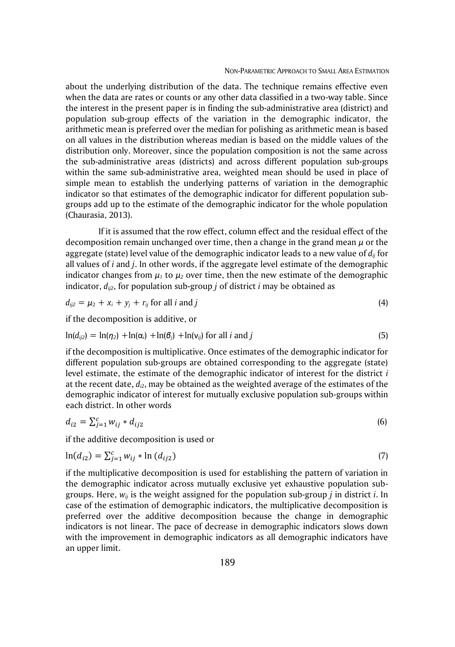about the underlying distribution of the data. The technique remains effective even when the data are rates or counts or any other data classified in a two-way table. Since the interest in the present paper is in finding the sub-administrative area (district) and population sub-group effects of the variation in the demographic indicator, the arithmetic mean is preferred over the median for polishing as arithmetic mean is based on all values in the distribution whereas median is based on the middle values of the distribution only. Moreover, since the population composition is not the same across the sub-administrative areas (districts) and across different population sub-groups within the same sub-administrative area, weighted mean should be used in place of simple mean to establish the underlying patterns of variation in the demographic indicator so that estimates of the demographic indicator for different population subgroups add up to the estimate of the demographic indicator for the whole population (Chaurasia, 2013).

If it is assumed that the row effect, column effect and the residual effect of the decomposition remain unchanged over time, then a change in the grand mean *μ* or the aggregate (state) level value of the demographic indicator leads to a new value of *dij* for all values of *i* and *j*. In other words, if the aggregate level estimate of the demographic indicator changes from  $\mu_1$  to  $\mu_2$  over time, then the new estimate of the demographic indicator, *dij2*, for population sub-group *j* of district *i* may be obtained as

$$
d_{ij2} = \mu_2 + x_i + y_j + r_{ij} \text{ for all } i \text{ and } j \tag{4}
$$

if the decomposition is additive, or

$$
\ln(d_{ij2}) = \ln(\eta_2) + \ln(\alpha_i) + \ln(\beta_j) + \ln(v_{ij})
$$
 for all *i* and *j* (5)

if the decomposition is multiplicative. Once estimates of the demographic indicator for different population sub-groups are obtained corresponding to the aggregate (state) level estimate, the estimate of the demographic indicator of interest for the district *i* at the recent date, *di2*, may be obtained as the weighted average of the estimates of the demographic indicator of interest for mutually exclusive population sub-groups within each district. In other words

$$
d_{i2} = \sum_{j=1}^{c} w_{ij} * d_{ij2}
$$
 (6)

if the additive decomposition is used or

$$
\ln(d_{i2}) = \sum_{j=1}^{c} w_{ij} * \ln(d_{ij2})
$$
\n(7)

if the multiplicative decomposition is used for establishing the pattern of variation in the demographic indicator across mutually exclusive yet exhaustive population subgroups. Here, *wij* is the weight assigned for the population sub-group *j* in district *i*. In case of the estimation of demographic indicators, the multiplicative decomposition is preferred over the additive decomposition because the change in demographic indicators is not linear. The pace of decrease in demographic indicators slows down with the improvement in demographic indicators as all demographic indicators have an upper limit.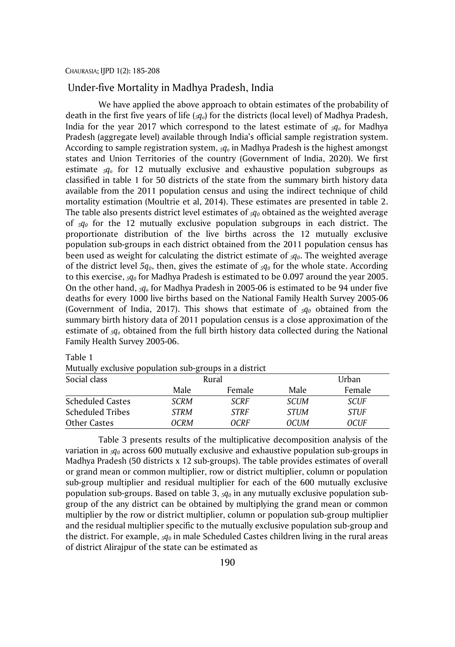#### Under-five Mortality in Madhya Pradesh, India

We have applied the above approach to obtain estimates of the probability of death in the first five years of life (*5qo*) for the districts (local level) of Madhya Pradesh, India for the year 2017 which correspond to the latest estimate of *5q<sup>o</sup>* for Madhya Pradesh (aggregate level) available through India's official sample registration system. According to sample registration system, *5q<sup>o</sup>* in Madhya Pradesh is the highest amongst states and Union Territories of the country (Government of India, 2020). We first estimate *5q<sup>o</sup>* for 12 mutually exclusive and exhaustive population subgroups as classified in table 1 for 50 districts of the state from the summary birth history data available from the 2011 population census and using the indirect technique of child mortality estimation (Moultrie et al, 2014). These estimates are presented in table 2. The table also presents district level estimates of *5q<sup>0</sup>* obtained as the weighted average of *5q<sup>0</sup>* for the 12 mutually exclusive population subgroups in each district. The proportionate distribution of the live births across the 12 mutually exclusive population sub-groups in each district obtained from the 2011 population census has been used as weight for calculating the district estimate of *<sup>5</sup>q0*. The weighted average of the district level  $5q<sub>0</sub>$ , then, gives the estimate of  $5q<sub>0</sub>$  for the whole state. According to this exercise, *5q<sup>0</sup>* for Madhya Pradesh is estimated to be 0.097 around the year 2005. On the other hand, *5q<sup>o</sup>* for Madhya Pradesh in 2005-06 is estimated to be 94 under five deaths for every 1000 live births based on the National Family Health Survey 2005-06 (Government of India, 2017). This shows that estimate of *5q<sup>0</sup>* obtained from the summary birth history data of 2011 population census is a close approximation of the estimate of *5q<sup>o</sup>* obtained from the full birth history data collected during the National Family Health Survey 2005-06.

| <b>Mutually CACIUSIVE POPULATION SUD-GIOUPS IN A UISTICE</b><br>Social class |      | Rural       |             | Urban       |
|------------------------------------------------------------------------------|------|-------------|-------------|-------------|
|                                                                              | Male | Female      | Male        | Female      |
| <b>Scheduled Castes</b>                                                      | SCRM | <b>SCRF</b> | <b>SCUM</b> | <b>SCUF</b> |
| <b>Scheduled Tribes</b>                                                      | STRM | <b>STRF</b> | <b>STUM</b> | <b>STUF</b> |
| Other Castes                                                                 | OCRM | OCRF        | OCUM        | OCUF        |

Table 1

Mutually exclusive population sub-groups in a district

Table 3 presents results of the multiplicative decomposition analysis of the variation in *5q<sup>0</sup>* across 600 mutually exclusive and exhaustive population sub-groups in Madhya Pradesh (50 districts x 12 sub-groups). The table provides estimates of overall or grand mean or common multiplier, row or district multiplier, column or population sub-group multiplier and residual multiplier for each of the 600 mutually exclusive population sub-groups. Based on table 3, *<sup>5</sup>q<sup>0</sup>* in any mutually exclusive population subgroup of the any district can be obtained by multiplying the grand mean or common multiplier by the row or district multiplier, column or population sub-group multiplier and the residual multiplier specific to the mutually exclusive population sub-group and the district. For example, *5q<sup>0</sup>* in male Scheduled Castes children living in the rural areas of district Alirajpur of the state can be estimated as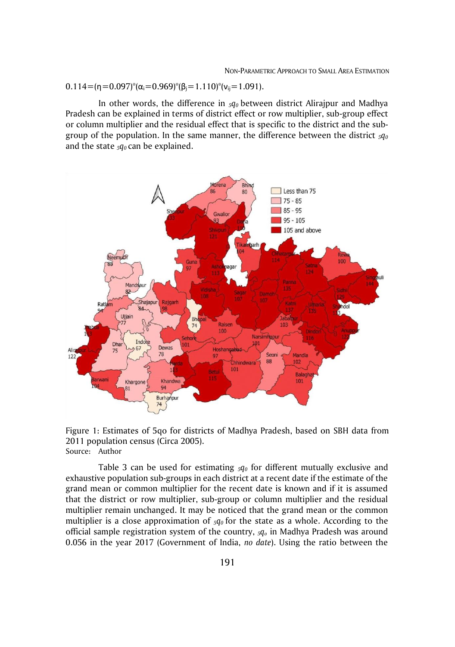#### $0.114=(\eta=0.097)^*(\alpha_i=0.969)^*(\beta_i=1.110)^*(v_{ij}=1.091).$

In other words, the difference in *5q0* between district Alirajpur and Madhya Pradesh can be explained in terms of district effect or row multiplier, sub-group effect or column multiplier and the residual effect that is specific to the district and the subgroup of the population. In the same manner, the difference between the district *<sup>5</sup>q<sup>0</sup>* and the state *5q0* can be explained.



Figure 1: Estimates of 5qo for districts of Madhya Pradesh, based on SBH data from 2011 population census (Circa 2005). Source: Author

Table 3 can be used for estimating *5q<sup>0</sup>* for different mutually exclusive and exhaustive population sub-groups in each district at a recent date if the estimate of the grand mean or common multiplier for the recent date is known and if it is assumed that the district or row multiplier, sub-group or column multiplier and the residual multiplier remain unchanged. It may be noticed that the grand mean or the common multiplier is a close approximation of *5q<sup>0</sup>* for the state as a whole. According to the official sample registration system of the country, *5q<sup>o</sup>* in Madhya Pradesh was around 0.056 in the year 2017 (Government of India, *no date*). Using the ratio between the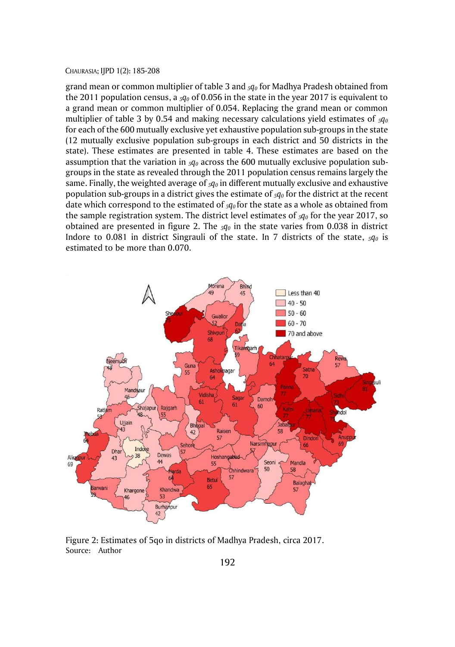grand mean or common multiplier of table 3 and *5q<sup>0</sup>* for Madhya Pradesh obtained from the 2011 population census, a *5q<sup>0</sup>* of 0.056 in the state in the year 2017 is equivalent to a grand mean or common multiplier of 0.054. Replacing the grand mean or common multiplier of table 3 by 0.54 and making necessary calculations yield estimates of *5q<sup>0</sup>* for each of the 600 mutually exclusive yet exhaustive population sub-groups in the state (12 mutually exclusive population sub-groups in each district and 50 districts in the state). These estimates are presented in table 4. These estimates are based on the assumption that the variation in  $_5q_0$  across the 600 mutually exclusive population subgroups in the state as revealed through the 2011 population census remains largely the same. Finally, the weighted average of *5q<sup>0</sup>* in different mutually exclusive and exhaustive population sub-groups in a district gives the estimate of *5q<sup>0</sup>* for the district at the recent date which correspond to the estimated of *5q<sup>0</sup>* for the state as a whole as obtained from the sample registration system. The district level estimates of *5q<sup>0</sup>* for the year 2017, so obtained are presented in figure 2. The *5q<sup>0</sup>* in the state varies from 0.038 in district Indore to 0.081 in district Singrauli of the state. In 7 districts of the state, *5q<sup>0</sup>* is estimated to be more than 0.070.



Figure 2: Estimates of 5qo in districts of Madhya Pradesh, circa 2017. Source: Author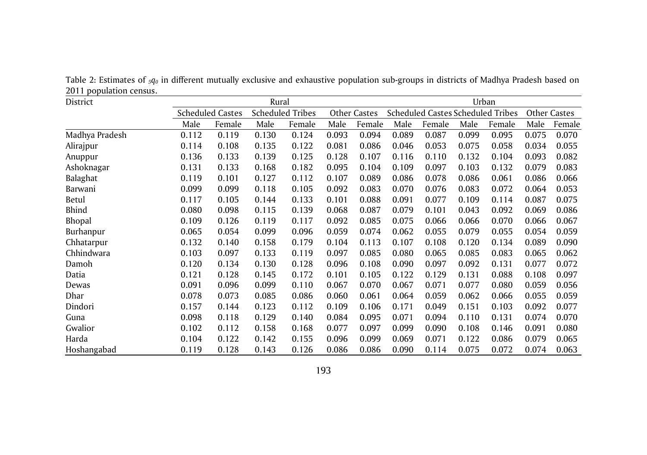District Rural Urban Scheduled Castes Scheduled Tribes Other Castes Scheduled Castes Scheduled Tribes Other Castes Male Female Male Female Male Female Male Female Male Female Male Female Madhya Pradesh 0.112 0.119 0.130 0.124 0.093 0.094 0.089 0.087 0.099 0.095 0.075 0.070 Alirajpur 0.114 0.108 0.135 0.122 0.081 0.086 0.046 0.053 0.075 0.058 0.034 0.055 Anuppur 0.136 0.133 0.139 0.125 0.128 0.107 0.116 0.110 0.132 0.104 0.093 0.082 Ashoknagar 0.131 0.133 0.168 0.182 0.095 0.104 0.109 0.097 0.103 0.132 0.079 0.083 Balaghat 0.119 0.101 0.127 0.112 0.107 0.089 0.086 0.078 0.086 0.061 0.086 0.066 Barwani 0.099 0.099 0.118 0.105 0.092 0.083 0.070 0.076 0.083 0.072 0.064 0.053 Betul 0.117 0.105 0.144 0.133 0.101 0.088 0.091 0.077 0.109 0.114 0.087 0.075 Bhind 0.080 0.098 0.115 0.139 0.068 0.087 0.079 0.101 0.043 0.092 0.069 0.086 Bhopal 0.109 0.126 0.119 0.117 0.092 0.085 0.075 0.066 0.066 0.070 0.066 0.067 Burhanpur 0.065 0.054 0.099 0.096 0.059 0.074 0.062 0.055 0.079 0.055 0.054 0.059 Chhatarpur 0.132 0.140 0.158 0.179 0.104 0.113 0.107 0.108 0.120 0.134 0.089 0.090 Chhindwara 0.103 0.097 0.133 0.119 0.097 0.085 0.080 0.065 0.085 0.083 0.065 0.062 Damoh 0.120 0.134 0.130 0.128 0.096 0.108 0.090 0.097 0.092 0.131 0.077 0.072 Datia 0.121 0.128 0.145 0.172 0.101 0.105 0.122 0.129 0.131 0.088 0.108 0.097 Dewas 0.091 0.096 0.099 0.110 0.067 0.070 0.067 0.071 0.077 0.080 0.059 0.056 Dhar 0.078 0.073 0.085 0.086 0.060 0.061 0.064 0.059 0.062 0.066 0.055 0.059 Dindori 0.157 0.144 0.123 0.112 0.109 0.106 0.171 0.049 0.151 0.103 0.092 0.077 Guna 0.098 0.118 0.129 0.140 0.084 0.095 0.071 0.094 0.110 0.131 0.074 0.070 Gwalior 0.102 0.112 0.158 0.168 0.077 0.097 0.099 0.090 0.108 0.146 0.091 0.080 Harda 0.104 0.122 0.142 0.155 0.096 0.099 0.069 0.071 0.122 0.086 0.079 0.065 Hoshangabad 0.119 0.128 0.143 0.126 0.086 0.086 0.090 0.114 0.075 0.072 0.074 0.063

Table 2: Estimates of *5q<sup>0</sup>* in different mutually exclusive and exhaustive population sub-groups in districts of Madhya Pradesh based on 2011 population census.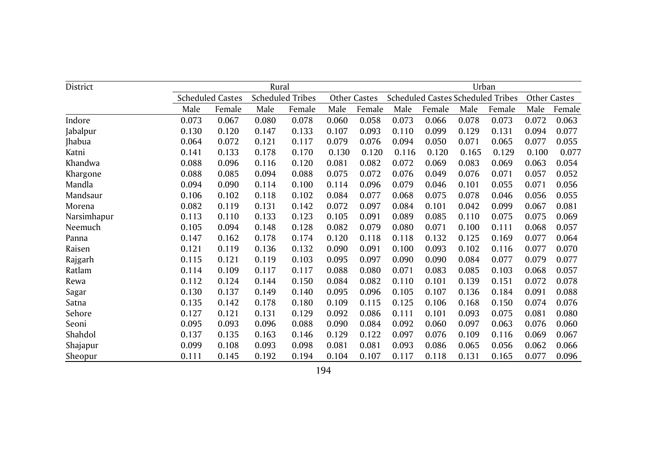| District    |       |                         | Rural |                         |       |              |       |        |       | Urban                                    |       |              |
|-------------|-------|-------------------------|-------|-------------------------|-------|--------------|-------|--------|-------|------------------------------------------|-------|--------------|
|             |       | <b>Scheduled Castes</b> |       | <b>Scheduled Tribes</b> |       | Other Castes |       |        |       | <b>Scheduled Castes Scheduled Tribes</b> |       | Other Castes |
|             | Male  | Female                  | Male  | Female                  | Male  | Female       | Male  | Female | Male  | Female                                   | Male  | Female       |
| Indore      | 0.073 | 0.067                   | 0.080 | 0.078                   | 0.060 | 0.058        | 0.073 | 0.066  | 0.078 | 0.073                                    | 0.072 | 0.063        |
| Jabalpur    | 0.130 | 0.120                   | 0.147 | 0.133                   | 0.107 | 0.093        | 0.110 | 0.099  | 0.129 | 0.131                                    | 0.094 | 0.077        |
| Jhabua      | 0.064 | 0.072                   | 0.121 | 0.117                   | 0.079 | 0.076        | 0.094 | 0.050  | 0.071 | 0.065                                    | 0.077 | 0.055        |
| Katni       | 0.141 | 0.133                   | 0.178 | 0.170                   | 0.130 | 0.120        | 0.116 | 0.120  | 0.165 | 0.129                                    | 0.100 | 0.077        |
| Khandwa     | 0.088 | 0.096                   | 0.116 | 0.120                   | 0.081 | 0.082        | 0.072 | 0.069  | 0.083 | 0.069                                    | 0.063 | 0.054        |
| Khargone    | 0.088 | 0.085                   | 0.094 | 0.088                   | 0.075 | 0.072        | 0.076 | 0.049  | 0.076 | 0.071                                    | 0.057 | 0.052        |
| Mandla      | 0.094 | 0.090                   | 0.114 | 0.100                   | 0.114 | 0.096        | 0.079 | 0.046  | 0.101 | 0.055                                    | 0.071 | 0.056        |
| Mandsaur    | 0.106 | 0.102                   | 0.118 | 0.102                   | 0.084 | 0.077        | 0.068 | 0.075  | 0.078 | 0.046                                    | 0.056 | 0.055        |
| Morena      | 0.082 | 0.119                   | 0.131 | 0.142                   | 0.072 | 0.097        | 0.084 | 0.101  | 0.042 | 0.099                                    | 0.067 | 0.081        |
| Narsimhapur | 0.113 | 0.110                   | 0.133 | 0.123                   | 0.105 | 0.091        | 0.089 | 0.085  | 0.110 | 0.075                                    | 0.075 | 0.069        |
| Neemuch     | 0.105 | 0.094                   | 0.148 | 0.128                   | 0.082 | 0.079        | 0.080 | 0.071  | 0.100 | 0.111                                    | 0.068 | 0.057        |
| Panna       | 0.147 | 0.162                   | 0.178 | 0.174                   | 0.120 | 0.118        | 0.118 | 0.132  | 0.125 | 0.169                                    | 0.077 | 0.064        |
| Raisen      | 0.121 | 0.119                   | 0.136 | 0.132                   | 0.090 | 0.091        | 0.100 | 0.093  | 0.102 | 0.116                                    | 0.077 | 0.070        |
| Rajgarh     | 0.115 | 0.121                   | 0.119 | 0.103                   | 0.095 | 0.097        | 0.090 | 0.090  | 0.084 | 0.077                                    | 0.079 | 0.077        |
| Ratlam      | 0.114 | 0.109                   | 0.117 | 0.117                   | 0.088 | 0.080        | 0.071 | 0.083  | 0.085 | 0.103                                    | 0.068 | 0.057        |
| Rewa        | 0.112 | 0.124                   | 0.144 | 0.150                   | 0.084 | 0.082        | 0.110 | 0.101  | 0.139 | 0.151                                    | 0.072 | 0.078        |
| Sagar       | 0.130 | 0.137                   | 0.149 | 0.140                   | 0.095 | 0.096        | 0.105 | 0.107  | 0.136 | 0.184                                    | 0.091 | 0.088        |
| Satna       | 0.135 | 0.142                   | 0.178 | 0.180                   | 0.109 | 0.115        | 0.125 | 0.106  | 0.168 | 0.150                                    | 0.074 | 0.076        |
| Sehore      | 0.127 | 0.121                   | 0.131 | 0.129                   | 0.092 | 0.086        | 0.111 | 0.101  | 0.093 | 0.075                                    | 0.081 | 0.080        |
| Seoni       | 0.095 | 0.093                   | 0.096 | 0.088                   | 0.090 | 0.084        | 0.092 | 0.060  | 0.097 | 0.063                                    | 0.076 | 0.060        |
| Shahdol     | 0.137 | 0.135                   | 0.163 | 0.146                   | 0.129 | 0.122        | 0.097 | 0.076  | 0.109 | 0.116                                    | 0.069 | 0.067        |
| Shajapur    | 0.099 | 0.108                   | 0.093 | 0.098                   | 0.081 | 0.081        | 0.093 | 0.086  | 0.065 | 0.056                                    | 0.062 | 0.066        |
| Sheopur     | 0.111 | 0.145                   | 0.192 | 0.194                   | 0.104 | 0.107        | 0.117 | 0.118  | 0.131 | 0.165                                    | 0.077 | 0.096        |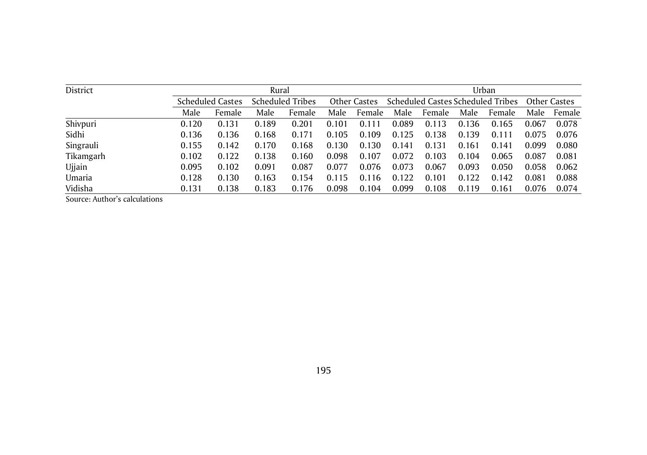| District  |       |                         | Rural |                         |       |              |       |        |       | Urban                             |       |              |
|-----------|-------|-------------------------|-------|-------------------------|-------|--------------|-------|--------|-------|-----------------------------------|-------|--------------|
|           |       | <b>Scheduled Castes</b> |       | <b>Scheduled Tribes</b> |       | Other Castes |       |        |       | Scheduled Castes Scheduled Tribes |       | Other Castes |
|           | Male  | Female                  | Male  | Female                  | Male  | Female       | Male  | Female | Male  | Female                            | Male  | Female       |
| Shivpuri  | 0.120 | 0.131                   | 0.189 | 0.201                   | 0.101 | 0.111        | 0.089 | 0.113  | 0.136 | 0.165                             | 0.067 | 0.078        |
| Sidhi     | 0.136 | 0.136                   | 0.168 | 0.171                   | 0.105 | 0.109        | 0.125 | 0.138  | 0.139 | 0.111                             | 0.075 | 0.076        |
| Singrauli | 0.155 | 0.142                   | 0.170 | 0.168                   | 0.130 | 0.130        | 0.141 | 0.131  | 0.161 | 0.141                             | 0.099 | 0.080        |
| Tikamgarh | 0.102 | 0.122                   | 0.138 | 0.160                   | 0.098 | 0.107        | 0.072 | 0.103  | 0.104 | 0.065                             | 0.087 | 0.081        |
| Ujjain    | 0.095 | 0.102                   | 0.091 | 0.087                   | 0.077 | 0.076        | 0.073 | 0.067  | 0.093 | 0.050                             | 0.058 | 0.062        |
| Umaria    | 0.128 | 0.130                   | 0.163 | 0.154                   | 0.115 | 0.116        | 0.122 | 0.101  | 0.122 | 0.142                             | 0.081 | 0.088        |
| Vidisha   | 0.131 | 0.138                   | 0.183 | 0.176                   | 0.098 | 0.104        | 0.099 | 0.108  | 0.119 | 0.161                             | 0.076 | 0.074        |

Source: Author's calculations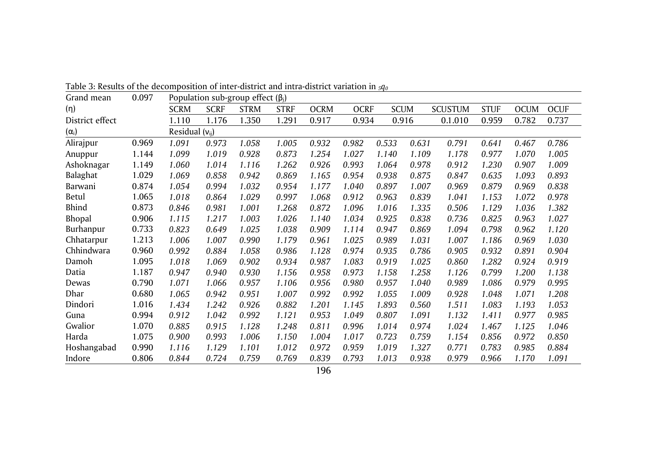| Grand mean      | 0.097 |                     |             | Population sub-group effect $(\beta_j)$ |             |             |             |             |       |                |             |             |             |
|-----------------|-------|---------------------|-------------|-----------------------------------------|-------------|-------------|-------------|-------------|-------|----------------|-------------|-------------|-------------|
| (n)             |       | <b>SCRM</b>         | <b>SCRF</b> | <b>STRM</b>                             | <b>STRF</b> | <b>OCRM</b> | <b>OCRF</b> | <b>SCUM</b> |       | <b>SCUSTUM</b> | <b>STUF</b> | <b>OCUM</b> | <b>OCUF</b> |
| District effect |       | 1.110               | 1.176       | 1.350                                   | 1.291       | 0.917       | 0.934       | 0.916       |       | 0.1.010        | 0.959       | 0.782       | 0.737       |
| $(\alpha_i)$    |       | Residual $(v_{ij})$ |             |                                         |             |             |             |             |       |                |             |             |             |
| Alirajpur       | 0.969 | 1.091               | 0.973       | 1.058                                   | 1.005       | 0.932       | 0.982       | 0.533       | 0.631 | 0.791          | 0.641       | 0.467       | 0.786       |
| Anuppur         | 1.144 | 1.099               | 1.019       | 0.928                                   | 0.873       | 1.254       | 1.027       | 1.140       | 1.109 | 1.178          | 0.977       | 1.070       | 1.005       |
| Ashoknagar      | 1.149 | 1.060               | 1.014       | 1.116                                   | 1.262       | 0.926       | 0.993       | 1.064       | 0.978 | 0.912          | 1.230       | 0.907       | 1.009       |
| Balaghat        | 1.029 | 1.069               | 0.858       | 0.942                                   | 0.869       | 1.165       | 0.954       | 0.938       | 0.875 | 0.847          | 0.635       | 1.093       | 0.893       |
| Barwani         | 0.874 | 1.054               | 0.994       | 1.032                                   | 0.954       | 1.177       | 1.040       | 0.897       | 1.007 | 0.969          | 0.879       | 0.969       | 0.838       |
| Betul           | 1.065 | 1.018               | 0.864       | 1.029                                   | 0.997       | 1.068       | 0.912       | 0.963       | 0.839 | 1.041          | 1.153       | 1.072       | 0.978       |
| Bhind           | 0.873 | 0.846               | 0.981       | 1.001                                   | 1.268       | 0.872       | 1.096       | 1.016       | 1.335 | 0.506          | 1.129       | 1.036       | 1.382       |
| <b>Bhopal</b>   | 0.906 | 1.115               | 1.217       | 1.003                                   | 1.026       | 1.140       | 1.034       | 0.925       | 0.838 | 0.736          | 0.825       | 0.963       | 1.027       |
| Burhanpur       | 0.733 | 0.823               | 0.649       | 1.025                                   | 1.038       | 0.909       | 1.114       | 0.947       | 0.869 | 1.094          | 0.798       | 0.962       | 1.120       |
| Chhatarpur      | 1.213 | 1.006               | 1.007       | 0.990                                   | 1.179       | 0.961       | 1.025       | 0.989       | 1.031 | 1.007          | 1.186       | 0.969       | 1.030       |
| Chhindwara      | 0.960 | 0.992               | 0.884       | 1.058                                   | 0.986       | 1.128       | 0.974       | 0.935       | 0.786 | 0.905          | 0.932       | 0.891       | 0.904       |
| Damoh           | 1.095 | 1.018               | 1.069       | 0.902                                   | 0.934       | 0.987       | 1.083       | 0.919       | 1.025 | 0.860          | 1.282       | 0.924       | 0.919       |
| Datia           | 1.187 | 0.947               | 0.940       | 0.930                                   | 1.156       | 0.958       | 0.973       | 1.158       | 1.258 | 1.126          | 0.799       | 1.200       | 1.138       |
| Dewas           | 0.790 | 1.071               | 1.066       | 0.957                                   | 1.106       | 0.956       | 0.980       | 0.957       | 1.040 | 0.989          | 1.086       | 0.979       | 0.995       |
| Dhar            | 0.680 | 1.065               | 0.942       | 0.951                                   | 1.007       | 0.992       | 0.992       | 1.055       | 1.009 | 0.928          | 1.048       | 1.071       | 1.208       |
| Dindori         | 1.016 | 1.434               | 1.242       | 0.926                                   | 0.882       | 1.201       | 1.145       | 1.893       | 0.560 | 1.511          | 1.083       | 1.193       | 1.053       |
| Guna            | 0.994 | 0.912               | 1.042       | 0.992                                   | 1.121       | 0.953       | 1.049       | 0.807       | 1.091 | 1.132          | 1.411       | 0.977       | 0.985       |
| Gwalior         | 1.070 | 0.885               | 0.915       | 1.128                                   | 1.248       | 0.811       | 0.996       | 1.014       | 0.974 | 1.024          | 1.467       | 1.125       | 1.046       |
| Harda           | 1.075 | 0.900               | 0.993       | 1.006                                   | 1.150       | 1.004       | 1.017       | 0.723       | 0.759 | 1.154          | 0.856       | 0.972       | 0.850       |
| Hoshangabad     | 0.990 | 1.116               | 1.129       | 1.101                                   | 1.012       | 0.972       | 0.959       | 1.019       | 1.327 | 0.771          | 0.783       | 0.985       | 0.884       |
| Indore          | 0.806 | 0.844               | 0.724       | 0.759                                   | 0.769       | 0.839       | 0.793       | 1.013       | 0.938 | 0.979          | 0.966       | 1.170       | 1.091       |

Table 3: Results of the decomposition of inter-district and intra-district variation in *5q<sup>0</sup>*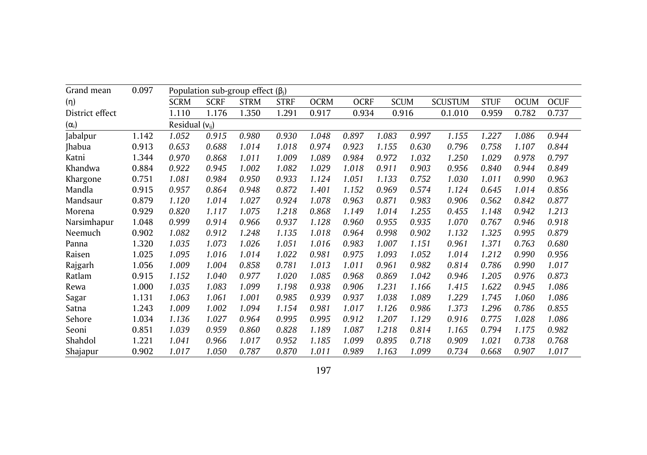| Grand mean      | 0.097 |                     |             | Population sub-group effect $(\beta_i)$ |             |             |             |             |       |                |             |             |             |
|-----------------|-------|---------------------|-------------|-----------------------------------------|-------------|-------------|-------------|-------------|-------|----------------|-------------|-------------|-------------|
| (n)             |       | <b>SCRM</b>         | <b>SCRF</b> | <b>STRM</b>                             | <b>STRF</b> | <b>OCRM</b> | <b>OCRF</b> | <b>SCUM</b> |       | <b>SCUSTUM</b> | <b>STUF</b> | <b>OCUM</b> | <b>OCUF</b> |
| District effect |       | 1.110               | 1.176       | 1.350                                   | 1.291       | 0.917       | 0.934       | 0.916       |       | 0.1.010        | 0.959       | 0.782       | 0.737       |
| $(\alpha_i)$    |       | Residual $(v_{ij})$ |             |                                         |             |             |             |             |       |                |             |             |             |
| Jabalpur        | 1.142 | 1.052               | 0.915       | 0.980                                   | 0.930       | 1.048       | 0.897       | 1.083       | 0.997 | 1.155          | 1.227       | 1.086       | 0.944       |
| <b>Jhabua</b>   | 0.913 | 0.653               | 0.688       | 1.014                                   | 1.018       | 0.974       | 0.923       | 1.155       | 0.630 | 0.796          | 0.758       | 1.107       | 0.844       |
| Katni           | 1.344 | 0.970               | 0.868       | 1.011                                   | 1.009       | 1.089       | 0.984       | 0.972       | 1.032 | 1.250          | 1.029       | 0.978       | 0.797       |
| Khandwa         | 0.884 | 0.922               | 0.945       | 1.002                                   | 1.082       | 1.029       | 1.018       | 0.911       | 0.903 | 0.956          | 0.840       | 0.944       | 0.849       |
| Khargone        | 0.751 | 1.081               | 0.984       | 0.950                                   | 0.933       | 1.124       | 1.051       | 1.133       | 0.752 | 1.030          | 1.011       | 0.990       | 0.963       |
| Mandla          | 0.915 | 0.957               | 0.864       | 0.948                                   | 0.872       | 1.401       | 1.152       | 0.969       | 0.574 | 1.124          | 0.645       | 1.014       | 0.856       |
| Mandsaur        | 0.879 | 1.120               | 1.014       | 1.027                                   | 0.924       | 1.078       | 0.963       | 0.871       | 0.983 | 0.906          | 0.562       | 0.842       | 0.877       |
| Morena          | 0.929 | 0.820               | 1.117       | 1.075                                   | 1.218       | 0.868       | 1.149       | 1.014       | 1.255 | 0.455          | 1.148       | 0.942       | 1.213       |
| Narsimhapur     | 1.048 | 0.999               | 0.914       | 0.966                                   | 0.937       | 1.128       | 0.960       | 0.955       | 0.935 | 1.070          | 0.767       | 0.946       | 0.918       |
| Neemuch         | 0.902 | 1.082               | 0.912       | 1.248                                   | 1.135       | 1.018       | 0.964       | 0.998       | 0.902 | 1.132          | 1.325       | 0.995       | 0.879       |
| Panna           | 1.320 | 1.035               | 1.073       | 1.026                                   | 1.051       | 1.016       | 0.983       | 1.007       | 1.151 | 0.961          | 1.371       | 0.763       | 0.680       |
| Raisen          | 1.025 | 1.095               | 1.016       | 1.014                                   | 1.022       | 0.981       | 0.975       | 1.093       | 1.052 | 1.014          | 1.212       | 0.990       | 0.956       |
| Rajgarh         | 1.056 | 1.009               | 1.004       | 0.858                                   | 0.781       | 1.013       | 1.011       | 0.961       | 0.982 | 0.814          | 0.786       | 0.990       | 1.017       |
| Ratlam          | 0.915 | 1.152               | 1.040       | 0.977                                   | 1.020       | 1.085       | 0.968       | 0.869       | 1.042 | 0.946          | 1.205       | 0.976       | 0.873       |
| Rewa            | 1.000 | 1.035               | 1.083       | 1.099                                   | 1.198       | 0.938       | 0.906       | 1.231       | 1.166 | 1.415          | 1.622       | 0.945       | 1.086       |
| Sagar           | 1.131 | 1.063               | 1.061       | 1.001                                   | 0.985       | 0.939       | 0.937       | 1.038       | 1.089 | 1.229          | 1.745       | 1.060       | 1.086       |
| Satna           | 1.243 | 1.009               | 1.002       | 1.094                                   | 1.154       | 0.981       | 1.017       | 1.126       | 0.986 | 1.373          | 1.296       | 0.786       | 0.855       |
| Sehore          | 1.034 | 1.136               | 1.027       | 0.964                                   | 0.995       | 0.995       | 0.912       | 1.207       | 1.129 | 0.916          | 0.775       | 1.028       | 1.086       |
| Seoni           | 0.851 | 1.039               | 0.959       | 0.860                                   | 0.828       | 1.189       | 1.087       | 1.218       | 0.814 | 1.165          | 0.794       | 1.175       | 0.982       |
| Shahdol         | 1.221 | 1.041               | 0.966       | 1.017                                   | 0.952       | 1.185       | 1.099       | 0.895       | 0.718 | 0.909          | 1.021       | 0.738       | 0.768       |
| Shajapur        | 0.902 | 1.017               | 1.050       | 0.787                                   | 0.870       | 1.011       | 0.989       | 1.163       | 1.099 | 0.734          | 0.668       | 0.907       | 1.017       |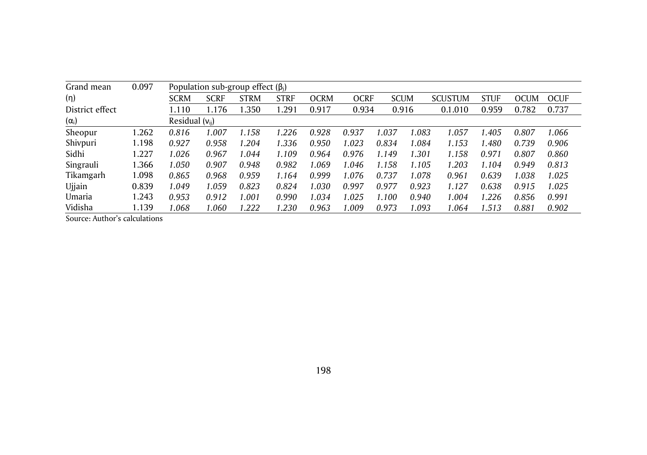| Grand mean      | 0.097 |                     | Population sub-group effect $(\beta_i)$ |             |             |       |             |             |       |                |             |             |             |
|-----------------|-------|---------------------|-----------------------------------------|-------------|-------------|-------|-------------|-------------|-------|----------------|-------------|-------------|-------------|
| (n)             |       | <b>SCRM</b>         | <b>SCRF</b>                             | <b>STRM</b> | <b>STRF</b> | OCRM  | <b>OCRF</b> | <b>SCUM</b> |       | <b>SCUSTUM</b> | <b>STUF</b> | <b>OCUM</b> | <b>OCUF</b> |
| District effect |       | .110                | 1.176                                   | 1.350       | 1.291       | 0.917 | 0.934       | 0.916       |       | 0.1.010        | 0.959       | 0.782       | 0.737       |
| $(\alpha_i)$    |       | Residual $(v_{ii})$ |                                         |             |             |       |             |             |       |                |             |             |             |
| Sheopur         | 1.262 | 0.816               | 1.007                                   | 1.158       | 1.226       | 0.928 | 0.937       | 1.037       | 1.083 | 1.057          | .405        | 0.807       | 1.066       |
| Shivpuri        | 1.198 | 0.927               | 0.958                                   | 1.204       | 1.336       | 0.950 | 1.023       | 0.834       | 1.084 | 1.153          | .480        | 0.739       | 0.906       |
| Sidhi           | 1.227 | 1.026               | 0.967                                   | 1.044       | 1.109       | 0.964 | 0.976       | 1.149       | 1.301 | 1.158          | 0.971       | 0.807       | 0.860       |
| Singrauli       | 1.366 | 1.050               | 0.907                                   | 0.948       | 0.982       | 1.069 | 1.046       | 1.158       | 1.105 | 1.203          | 1.104       | 0.949       | 0.813       |
| Tikamgarh       | 1.098 | 0.865               | 0.968                                   | 0.959       | 1.164       | 0.999 | 1.076       | 0.737       | 1.078 | 0.961          | 0.639       | 1.038       | 1.025       |
| <b>Ujjain</b>   | 0.839 | 1.049               | 1.059                                   | 0.823       | 0.824       | 1.030 | 0.997       | 0.977       | 0.923 | 1.127          | 0.638       | 0.915       | 1.025       |
| Umaria          | 1.243 | 0.953               | 0.912                                   | .001        | 0.990       | 1.034 | 1.025       | 1.100       | 0.940 | 1.004          | 1.226       | 0.856       | 0.991       |
| Vidisha         | 1.139 | 0.068               | 1.060                                   | 1.222       | 1.230       | 0.963 | 1.009       | 0.973       | 1.093 | 1.064          | 1.513       | 0.881       | 0.902       |

Source: Author's calculations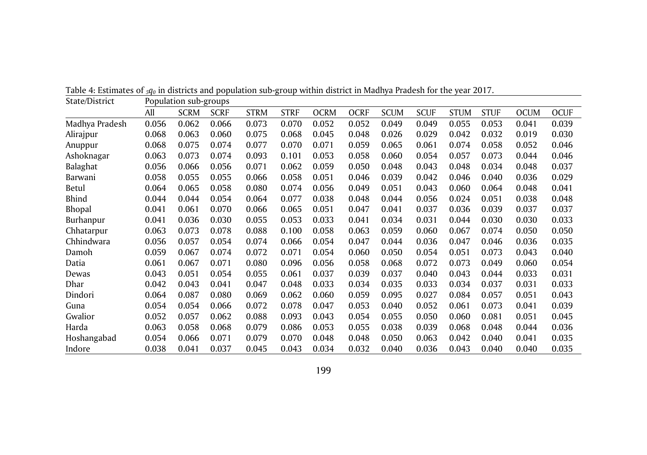| State/District |       | Population sub-groups |             |             |             |             |             |             |             |             |             |             |             |
|----------------|-------|-----------------------|-------------|-------------|-------------|-------------|-------------|-------------|-------------|-------------|-------------|-------------|-------------|
|                | All   | <b>SCRM</b>           | <b>SCRF</b> | <b>STRM</b> | <b>STRF</b> | <b>OCRM</b> | <b>OCRF</b> | <b>SCUM</b> | <b>SCUF</b> | <b>STUM</b> | <b>STUF</b> | <b>OCUM</b> | <b>OCUF</b> |
| Madhya Pradesh | 0.056 | 0.062                 | 0.066       | 0.073       | 0.070       | 0.052       | 0.052       | 0.049       | 0.049       | 0.055       | 0.053       | 0.041       | 0.039       |
| Alirajpur      | 0.068 | 0.063                 | 0.060       | 0.075       | 0.068       | 0.045       | 0.048       | 0.026       | 0.029       | 0.042       | 0.032       | 0.019       | 0.030       |
| Anuppur        | 0.068 | 0.075                 | 0.074       | 0.077       | 0.070       | 0.071       | 0.059       | 0.065       | 0.061       | 0.074       | 0.058       | 0.052       | 0.046       |
| Ashoknagar     | 0.063 | 0.073                 | 0.074       | 0.093       | 0.101       | 0.053       | 0.058       | 0.060       | 0.054       | 0.057       | 0.073       | 0.044       | 0.046       |
| Balaghat       | 0.056 | 0.066                 | 0.056       | 0.071       | 0.062       | 0.059       | 0.050       | 0.048       | 0.043       | 0.048       | 0.034       | 0.048       | 0.037       |
| Barwani        | 0.058 | 0.055                 | 0.055       | 0.066       | 0.058       | 0.051       | 0.046       | 0.039       | 0.042       | 0.046       | 0.040       | 0.036       | 0.029       |
| Betul          | 0.064 | 0.065                 | 0.058       | 0.080       | 0.074       | 0.056       | 0.049       | 0.051       | 0.043       | 0.060       | 0.064       | 0.048       | 0.041       |
| Bhind          | 0.044 | 0.044                 | 0.054       | 0.064       | 0.077       | 0.038       | 0.048       | 0.044       | 0.056       | 0.024       | 0.051       | 0.038       | 0.048       |
| Bhopal         | 0.041 | 0.061                 | 0.070       | 0.066       | 0.065       | 0.051       | 0.047       | 0.041       | 0.037       | 0.036       | 0.039       | 0.037       | 0.037       |
| Burhanpur      | 0.041 | 0.036                 | 0.030       | 0.055       | 0.053       | 0.033       | 0.041       | 0.034       | 0.031       | 0.044       | 0.030       | 0.030       | 0.033       |
| Chhatarpur     | 0.063 | 0.073                 | 0.078       | 0.088       | 0.100       | 0.058       | 0.063       | 0.059       | 0.060       | 0.067       | 0.074       | 0.050       | 0.050       |
| Chhindwara     | 0.056 | 0.057                 | 0.054       | 0.074       | 0.066       | 0.054       | 0.047       | 0.044       | 0.036       | 0.047       | 0.046       | 0.036       | 0.035       |
| Damoh          | 0.059 | 0.067                 | 0.074       | 0.072       | 0.071       | 0.054       | 0.060       | 0.050       | 0.054       | 0.051       | 0.073       | 0.043       | 0.040       |
| Datia          | 0.061 | 0.067                 | 0.071       | 0.080       | 0.096       | 0.056       | 0.058       | 0.068       | 0.072       | 0.073       | 0.049       | 0.060       | 0.054       |
| Dewas          | 0.043 | 0.051                 | 0.054       | 0.055       | 0.061       | 0.037       | 0.039       | 0.037       | 0.040       | 0.043       | 0.044       | 0.033       | 0.031       |
| Dhar           | 0.042 | 0.043                 | 0.041       | 0.047       | 0.048       | 0.033       | 0.034       | 0.035       | 0.033       | 0.034       | 0.037       | 0.031       | 0.033       |
| Dindori        | 0.064 | 0.087                 | 0.080       | 0.069       | 0.062       | 0.060       | 0.059       | 0.095       | 0.027       | 0.084       | 0.057       | 0.051       | 0.043       |
| Guna           | 0.054 | 0.054                 | 0.066       | 0.072       | 0.078       | 0.047       | 0.053       | 0.040       | 0.052       | 0.061       | 0.073       | 0.041       | 0.039       |
| Gwalior        | 0.052 | 0.057                 | 0.062       | 0.088       | 0.093       | 0.043       | 0.054       | 0.055       | 0.050       | 0.060       | 0.081       | 0.051       | 0.045       |
| Harda          | 0.063 | 0.058                 | 0.068       | 0.079       | 0.086       | 0.053       | 0.055       | 0.038       | 0.039       | 0.068       | 0.048       | 0.044       | 0.036       |
| Hoshangabad    | 0.054 | 0.066                 | 0.071       | 0.079       | 0.070       | 0.048       | 0.048       | 0.050       | 0.063       | 0.042       | 0.040       | 0.041       | 0.035       |
| Indore         | 0.038 | 0.041                 | 0.037       | 0.045       | 0.043       | 0.034       | 0.032       | 0.040       | 0.036       | 0.043       | 0.040       | 0.040       | 0.035       |

Table 4: Estimates of *5q<sup>0</sup>* in districts and population sub-group within district in Madhya Pradesh for the year 2017.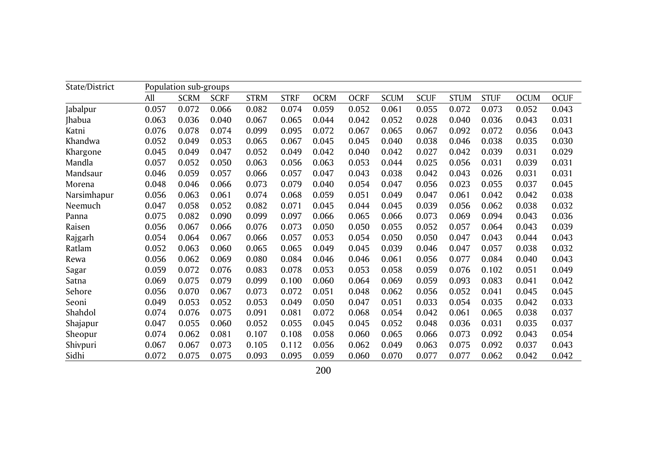| State/District |       | Population sub-groups |             |             |             |             |             |             |             |             |             |             |             |
|----------------|-------|-----------------------|-------------|-------------|-------------|-------------|-------------|-------------|-------------|-------------|-------------|-------------|-------------|
|                | All   | <b>SCRM</b>           | <b>SCRF</b> | <b>STRM</b> | <b>STRF</b> | <b>OCRM</b> | <b>OCRF</b> | <b>SCUM</b> | <b>SCUF</b> | <b>STUM</b> | <b>STUF</b> | <b>OCUM</b> | <b>OCUF</b> |
| Jabalpur       | 0.057 | 0.072                 | 0.066       | 0.082       | 0.074       | 0.059       | 0.052       | 0.061       | 0.055       | 0.072       | 0.073       | 0.052       | 0.043       |
| Jhabua         | 0.063 | 0.036                 | 0.040       | 0.067       | 0.065       | 0.044       | 0.042       | 0.052       | 0.028       | 0.040       | 0.036       | 0.043       | 0.031       |
| Katni          | 0.076 | 0.078                 | 0.074       | 0.099       | 0.095       | 0.072       | 0.067       | 0.065       | 0.067       | 0.092       | 0.072       | 0.056       | 0.043       |
| Khandwa        | 0.052 | 0.049                 | 0.053       | 0.065       | 0.067       | 0.045       | 0.045       | 0.040       | 0.038       | 0.046       | 0.038       | 0.035       | 0.030       |
| Khargone       | 0.045 | 0.049                 | 0.047       | 0.052       | 0.049       | 0.042       | 0.040       | 0.042       | 0.027       | 0.042       | 0.039       | 0.031       | 0.029       |
| Mandla         | 0.057 | 0.052                 | 0.050       | 0.063       | 0.056       | 0.063       | 0.053       | 0.044       | 0.025       | 0.056       | 0.031       | 0.039       | 0.031       |
| Mandsaur       | 0.046 | 0.059                 | 0.057       | 0.066       | 0.057       | 0.047       | 0.043       | 0.038       | 0.042       | 0.043       | 0.026       | 0.031       | 0.031       |
| Morena         | 0.048 | 0.046                 | 0.066       | 0.073       | 0.079       | 0.040       | 0.054       | 0.047       | 0.056       | 0.023       | 0.055       | 0.037       | 0.045       |
| Narsimhapur    | 0.056 | 0.063                 | 0.061       | 0.074       | 0.068       | 0.059       | 0.051       | 0.049       | 0.047       | 0.061       | 0.042       | 0.042       | 0.038       |
| Neemuch        | 0.047 | 0.058                 | 0.052       | 0.082       | 0.071       | 0.045       | 0.044       | 0.045       | 0.039       | 0.056       | 0.062       | 0.038       | 0.032       |
| Panna          | 0.075 | 0.082                 | 0.090       | 0.099       | 0.097       | 0.066       | 0.065       | 0.066       | 0.073       | 0.069       | 0.094       | 0.043       | 0.036       |
| Raisen         | 0.056 | 0.067                 | 0.066       | 0.076       | 0.073       | 0.050       | 0.050       | 0.055       | 0.052       | 0.057       | 0.064       | 0.043       | 0.039       |
| Rajgarh        | 0.054 | 0.064                 | 0.067       | 0.066       | 0.057       | 0.053       | 0.054       | 0.050       | 0.050       | 0.047       | 0.043       | 0.044       | 0.043       |
| Ratlam         | 0.052 | 0.063                 | 0.060       | 0.065       | 0.065       | 0.049       | 0.045       | 0.039       | 0.046       | 0.047       | 0.057       | 0.038       | 0.032       |
| Rewa           | 0.056 | 0.062                 | 0.069       | 0.080       | 0.084       | 0.046       | 0.046       | 0.061       | 0.056       | 0.077       | 0.084       | 0.040       | 0.043       |
| Sagar          | 0.059 | 0.072                 | 0.076       | 0.083       | 0.078       | 0.053       | 0.053       | 0.058       | 0.059       | 0.076       | 0.102       | 0.051       | 0.049       |
| Satna          | 0.069 | 0.075                 | 0.079       | 0.099       | 0.100       | 0.060       | 0.064       | 0.069       | 0.059       | 0.093       | 0.083       | 0.041       | 0.042       |
| Sehore         | 0.056 | 0.070                 | 0.067       | 0.073       | 0.072       | 0.051       | 0.048       | 0.062       | 0.056       | 0.052       | 0.041       | 0.045       | 0.045       |
| Seoni          | 0.049 | 0.053                 | 0.052       | 0.053       | 0.049       | 0.050       | 0.047       | 0.051       | 0.033       | 0.054       | 0.035       | 0.042       | 0.033       |
| Shahdol        | 0.074 | 0.076                 | 0.075       | 0.091       | 0.081       | 0.072       | 0.068       | 0.054       | 0.042       | 0.061       | 0.065       | 0.038       | 0.037       |
| Shajapur       | 0.047 | 0.055                 | 0.060       | 0.052       | 0.055       | 0.045       | 0.045       | 0.052       | 0.048       | 0.036       | 0.031       | 0.035       | 0.037       |
| Sheopur        | 0.074 | 0.062                 | 0.081       | 0.107       | 0.108       | 0.058       | 0.060       | 0.065       | 0.066       | 0.073       | 0.092       | 0.043       | 0.054       |
| Shivpuri       | 0.067 | 0.067                 | 0.073       | 0.105       | 0.112       | 0.056       | 0.062       | 0.049       | 0.063       | 0.075       | 0.092       | 0.037       | 0.043       |
| Sidhi          | 0.072 | 0.075                 | 0.075       | 0.093       | 0.095       | 0.059       | 0.060       | 0.070       | 0.077       | 0.077       | 0.062       | 0.042       | 0.042       |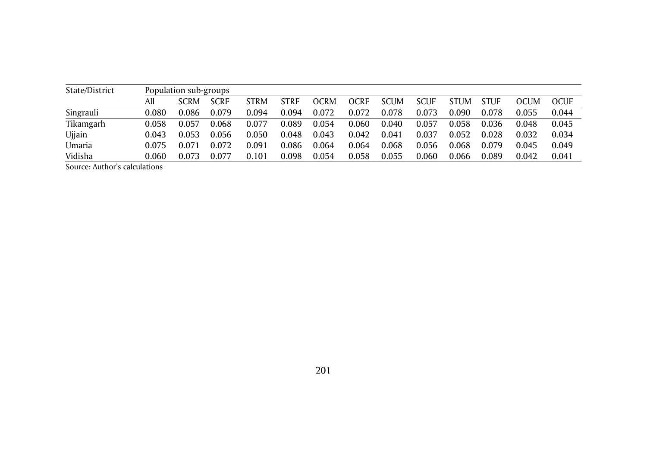| State/District |       | Population sub-groups |             |             |             |             |       |             |             |             |             |       |       |
|----------------|-------|-----------------------|-------------|-------------|-------------|-------------|-------|-------------|-------------|-------------|-------------|-------|-------|
|                | All   | SCRM                  | <b>SCRF</b> | <b>STRM</b> | <b>STRF</b> | <b>OCRM</b> | OCRF  | <b>SCUM</b> | <b>SCUF</b> | <b>STUM</b> | <b>STUF</b> | OCUM  | OCUF  |
| Singrauli      | 0.080 | 0.086                 | 0.079       | 0.094       | 0.094       | 0.072       | 0.072 | 0.078       | 0.073       | 0.090       | 0.078       | 0.055 | 0.044 |
| Tikamgarh      | 0.058 | 0.057                 | 0.068       | 0.077       | 0.089       | 0.054       | 0.060 | 0.040       | 0.057       | 0.058       | 0.036       | 0.048 | 0.045 |
| Ujjain         | 0.043 | 0.053                 | 0.056       | 0.050       | 0.048       | 0.043       | 0.042 | 0.041       | 0.037       | 0.052       | 0.028       | 0.032 | 0.034 |
| Umaria         | 0.075 | 0.071                 | 0.072       | 0.091       | 0.086       | 0.064       | 0.064 | 0.068       | 0.056       | 0.068       | 0.079       | 0.045 | 0.049 |
| Vidisha        | 0.060 | 0.073                 | 0.077       | 0.101       | 0.098       | 0.054       | 0.058 | 0.055       | 0.060       | 0.066       | 0.089       | 0.042 | 0.041 |

Source: Author's calculations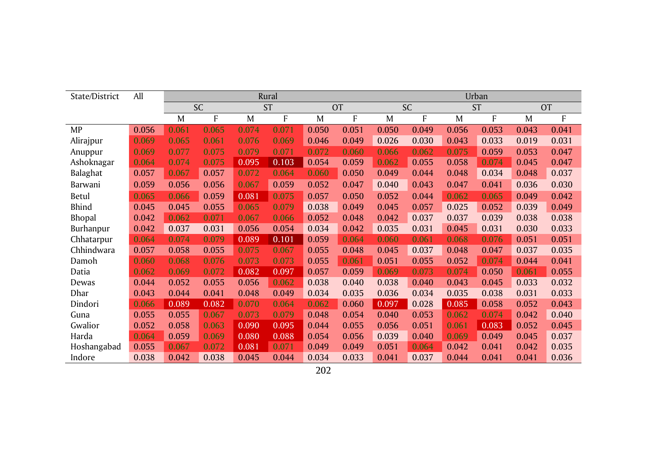| State/District | All   |       |           |       | Rural     |       |           |       |           |       | Urban     |       |           |
|----------------|-------|-------|-----------|-------|-----------|-------|-----------|-------|-----------|-------|-----------|-------|-----------|
|                |       |       | <b>SC</b> |       | <b>ST</b> |       | <b>OT</b> |       | <b>SC</b> |       | <b>ST</b> |       | <b>OT</b> |
|                |       | M     | F         | M     | F         | M     | F         | M     | F         | M     | F         | M     | F         |
| <b>MP</b>      | 0.056 | 0.061 | 0.065     | 0.074 | 0.071     | 0.050 | 0.051     | 0.050 | 0.049     | 0.056 | 0.053     | 0.043 | 0.041     |
| Alirajpur      | 0.069 | 0.065 | 0.061     | 0.076 | 0.069     | 0.046 | 0.049     | 0.026 | 0.030     | 0.043 | 0.033     | 0.019 | 0.031     |
| Anuppur        | 0.069 | 0.077 | 0.075     | 0.079 | 0.071     | 0.072 | 0.060     | 0.066 | 0.062     | 0.075 | 0.059     | 0.053 | 0.047     |
| Ashoknagar     | 0.064 | 0.074 | 0.075     | 0.095 | 0.103     | 0.054 | 0.059     | 0.062 | 0.055     | 0.058 | 0.074     | 0.045 | 0.047     |
| Balaghat       | 0.057 | 0.067 | 0.057     | 0.072 | 0.064     | 0.060 | 0.050     | 0.049 | 0.044     | 0.048 | 0.034     | 0.048 | 0.037     |
| Barwani        | 0.059 | 0.056 | 0.056     | 0.067 | 0.059     | 0.052 | 0.047     | 0.040 | 0.043     | 0.047 | 0.041     | 0.036 | 0.030     |
| Betul          | 0.065 | 0.066 | 0.059     | 0.081 | 0.075     | 0.057 | 0.050     | 0.052 | 0.044     | 0.062 | 0.065     | 0.049 | 0.042     |
| <b>Bhind</b>   | 0.045 | 0.045 | 0.055     | 0.065 | 0.079     | 0.038 | 0.049     | 0.045 | 0.057     | 0.025 | 0.052     | 0.039 | 0.049     |
| Bhopal         | 0.042 | 0.062 | 0.071     | 0.067 | 0.066     | 0.052 | 0.048     | 0.042 | 0.037     | 0.037 | 0.039     | 0.038 | 0.038     |
| Burhanpur      | 0.042 | 0.037 | 0.031     | 0.056 | 0.054     | 0.034 | 0.042     | 0.035 | 0.031     | 0.045 | 0.031     | 0.030 | 0.033     |
| Chhatarpur     | 0.064 | 0.074 | 0.079     | 0.089 | 0.101     | 0.059 | 0.064     | 0.060 | 0.061     | 0.068 | 0.076     | 0.051 | 0.051     |
| Chhindwara     | 0.057 | 0.058 | 0.055     | 0.075 | 0.067     | 0.055 | 0.048     | 0.045 | 0.037     | 0.048 | 0.047     | 0.037 | 0.035     |
| Damoh          | 0.060 | 0.068 | 0.076     | 0.073 | 0.073     | 0.055 | 0.061     | 0.051 | 0.055     | 0.052 | 0.074     | 0.044 | 0.041     |
| Datia          | 0.062 | 0.069 | 0.072     | 0.082 | 0.097     | 0.057 | 0.059     | 0.069 | 0.073     | 0.074 | 0.050     | 0.061 | 0.055     |
| Dewas          | 0.044 | 0.052 | 0.055     | 0.056 | 0.062     | 0.038 | 0.040     | 0.038 | 0.040     | 0.043 | 0.045     | 0.033 | 0.032     |
| Dhar           | 0.043 | 0.044 | 0.041     | 0.048 | 0.049     | 0.034 | 0.035     | 0.036 | 0.034     | 0.035 | 0.038     | 0.031 | 0.033     |
| Dindori        | 0.066 | 0.089 | 0.082     | 0.070 | 0.064     | 0.062 | 0.060     | 0.097 | 0.028     | 0.085 | 0.058     | 0.052 | 0.043     |
| Guna           | 0.055 | 0.055 | 0.067     | 0.073 | 0.079     | 0.048 | 0.054     | 0.040 | 0.053     | 0.062 | 0.074     | 0.042 | 0.040     |
| Gwalior        | 0.052 | 0.058 | 0.063     | 0.090 | 0.095     | 0.044 | 0.055     | 0.056 | 0.051     | 0.061 | 0.083     | 0.052 | 0.045     |
| Harda          | 0.064 | 0.059 | 0.069     | 0.080 | 0.088     | 0.054 | 0.056     | 0.039 | 0.040     | 0.069 | 0.049     | 0.045 | 0.037     |
| Hoshangabad    | 0.055 | 0.067 | 0.072     | 0.081 | 0.071     | 0.049 | 0.049     | 0.051 | 0.064     | 0.042 | 0.041     | 0.042 | 0.035     |
| Indore         | 0.038 | 0.042 | 0.038     | 0.045 | 0.044     | 0.034 | 0.033     | 0.041 | 0.037     | 0.044 | 0.041     | 0.041 | 0.036     |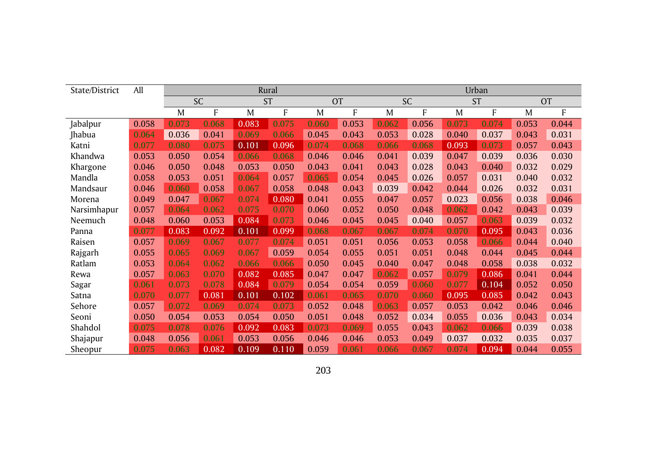| State/District | All   |       |           |       | Rural     |       |           |       |           |       | Urban     |       |           |
|----------------|-------|-------|-----------|-------|-----------|-------|-----------|-------|-----------|-------|-----------|-------|-----------|
|                |       |       | <b>SC</b> |       | <b>ST</b> |       | <b>OT</b> |       | <b>SC</b> |       | <b>ST</b> |       | <b>OT</b> |
|                |       | M     | F         | M     | F         | M     | F         | M     | F         | M     | F         | M     | F         |
| Jabalpur       | 0.058 | 0.073 | 0.068     | 0.083 | 0.075     | 0.060 | 0.053     | 0.062 | 0.056     | 0.073 | 0.074     | 0.053 | 0.044     |
| Jhabua         | 0.064 | 0.036 | 0.041     | 0.069 | 0.066     | 0.045 | 0.043     | 0.053 | 0.028     | 0.040 | 0.037     | 0.043 | 0.031     |
| Katni          | 0.077 | 0.080 | 0.075     | 0.101 | 0.096     | 0.074 | 0.068     | 0.066 | 0.068     | 0.093 | 0.073     | 0.057 | 0.043     |
| Khandwa        | 0.053 | 0.050 | 0.054     | 0.066 | 0.068     | 0.046 | 0.046     | 0.041 | 0.039     | 0.047 | 0.039     | 0.036 | 0.030     |
| Khargone       | 0.046 | 0.050 | 0.048     | 0.053 | 0.050     | 0.043 | 0.041     | 0.043 | 0.028     | 0.043 | 0.040     | 0.032 | 0.029     |
| Mandla         | 0.058 | 0.053 | 0.051     | 0.064 | 0.057     | 0.065 | 0.054     | 0.045 | 0.026     | 0.057 | 0.031     | 0.040 | 0.032     |
| Mandsaur       | 0.046 | 0.060 | 0.058     | 0.067 | 0.058     | 0.048 | 0.043     | 0.039 | 0.042     | 0.044 | 0.026     | 0.032 | 0.031     |
| Morena         | 0.049 | 0.047 | 0.067     | 0.074 | 0.080     | 0.041 | 0.055     | 0.047 | 0.057     | 0.023 | 0.056     | 0.038 | 0.046     |
| Narsimhapur    | 0.057 | 0.064 | 0.062     | 0.075 | 0.070     | 0.060 | 0.052     | 0.050 | 0.048     | 0.062 | 0.042     | 0.043 | 0.039     |
| Neemuch        | 0.048 | 0.060 | 0.053     | 0.084 | 0.073     | 0.046 | 0.045     | 0.045 | 0.040     | 0.057 | 0.063     | 0.039 | 0.032     |
| Panna          | 0.077 | 0.083 | 0.092     | 0.101 | 0.099     | 0.068 | 0.067     | 0.067 | 0.074     | 0.070 | 0.095     | 0.043 | 0.036     |
| Raisen         | 0.057 | 0.069 | 0.067     | 0.077 | 0.074     | 0.051 | 0.051     | 0.056 | 0.053     | 0.058 | 0.066     | 0.044 | 0.040     |
| Rajgarh        | 0.055 | 0.065 | 0.069     | 0.067 | 0.059     | 0.054 | 0.055     | 0.051 | 0.051     | 0.048 | 0.044     | 0.045 | 0.044     |
| Ratlam         | 0.053 | 0.064 | 0.062     | 0.066 | 0.066     | 0.050 | 0.045     | 0.040 | 0.047     | 0.048 | 0.058     | 0.038 | 0.032     |
| Rewa           | 0.057 | 0.063 | 0.070     | 0.082 | 0.085     | 0.047 | 0.047     | 0.062 | 0.057     | 0.079 | 0.086     | 0.041 | 0.044     |
| Sagar          | 0.061 | 0.073 | 0.078     | 0.084 | 0.079     | 0.054 | 0.054     | 0.059 | 0.060     | 0.077 | 0.104     | 0.052 | 0.050     |
| Satna          | 0.070 | 0.077 | 0.081     | 0.101 | 0.102     | 0.061 | 0.065     | 0.070 | 0.060     | 0.095 | 0.085     | 0.042 | 0.043     |
| Sehore         | 0.057 | 0.072 | 0.069     | 0.074 | 0.073     | 0.052 | 0.048     | 0.063 | 0.057     | 0.053 | 0.042     | 0.046 | 0.046     |
| Seoni          | 0.050 | 0.054 | 0.053     | 0.054 | 0.050     | 0.051 | 0.048     | 0.052 | 0.034     | 0.055 | 0.036     | 0.043 | 0.034     |
| Shahdol        | 0.075 | 0.078 | 0.076     | 0.092 | 0.083     | 0.073 | 0.069     | 0.055 | 0.043     | 0.062 | 0.066     | 0.039 | 0.038     |
| Shajapur       | 0.048 | 0.056 | 0.061     | 0.053 | 0.056     | 0.046 | 0.046     | 0.053 | 0.049     | 0.037 | 0.032     | 0.035 | 0.037     |
| Sheopur        | 0.075 | 0.063 | 0.082     | 0.109 | 0.110     | 0.059 | 0.061     | 0.066 | 0.067     | 0.074 | 0.094     | 0.044 | 0.055     |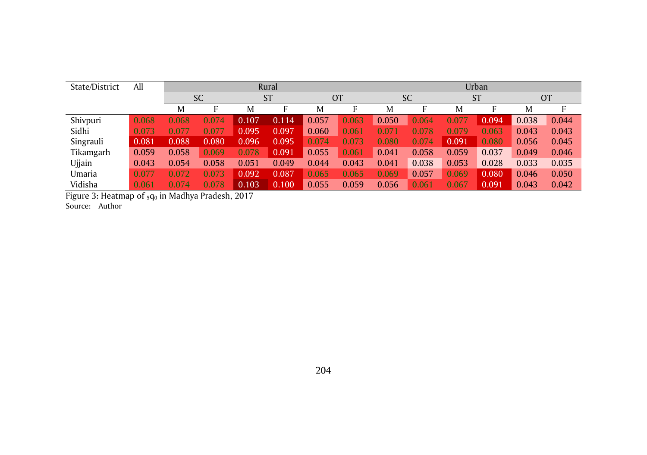| State/District | All   |       |           |       | Rural     |       |           |       |           |       | Urban     |       |           |
|----------------|-------|-------|-----------|-------|-----------|-------|-----------|-------|-----------|-------|-----------|-------|-----------|
|                |       |       | <b>SC</b> |       | <b>ST</b> |       | <b>OT</b> |       | <b>SC</b> |       | <b>ST</b> |       | <b>OT</b> |
|                |       | M     | F         | M     |           | M     |           | M     |           | M     | ь         | M     | F         |
| Shivpuri       | 0.068 | 0.068 | 0.074     | 0.107 | 0.1<br>14 | 0.057 | 0.063     | 0.050 | 0.064     | 0.077 | 0.094     | 0.038 | 0.044     |
| Sidhi          | 0.073 | 0.077 | 0.077     | 0.095 | 0.097     | 0.060 | 0.061     | 0.071 | 0.078     | 0.079 | 0.063     | 0.043 | 0.043     |
| Singrauli      | 0.081 | 0.088 | 0.080     | 0.096 | 0.095     | 0.074 | 0.073     | 0.080 | 0.074     | 0.091 | 0.080     | 0.056 | 0.045     |
| Tikamgarh      | 0.059 | 0.058 | 0.069     | 0.078 | 0.091     | 0.055 | 0.061     | 0.041 | 0.058     | 0.059 | 0.037     | 0.049 | 0.046     |
| Ujjain         | 0.043 | 0.054 | 0.058     | 0.051 | 0.049     | 0.044 | 0.043     | 0.041 | 0.038     | 0.053 | 0.028     | 0.033 | 0.035     |
| Umaria         | 0.077 | 0.072 | 0.073     | 0.092 | 0.087     | 0.065 | 0.065     | 0.069 | 0.057     | 0.069 | 0.080     | 0.046 | 0.050     |
| Vidisha        | 0.061 | 0.074 | 0.078     | 0.103 | 0.100     | 0.055 | 0.059     | 0.056 | 0.061     | 0.067 | 0.091     | 0.043 | 0.042     |

Figure 3: Heatmap of  $_5q_0$  in Madhya Pradesh, 2017 Source: Author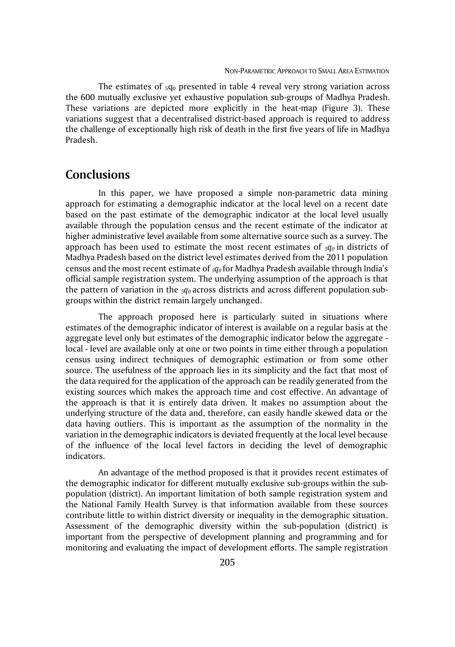The estimates of  $_5q_0$  presented in table 4 reveal very strong variation across the 600 mutually exclusive yet exhaustive population sub-groups of Madhya Pradesh. These variations are depicted more explicitly in the heat-map (Figure 3). These variations suggest that a decentralised district-based approach is required to address the challenge of exceptionally high risk of death in the first five years of life in Madhya Pradesh.

# **Conclusions**

In this paper, we have proposed a simple non-parametric data mining approach for estimating a demographic indicator at the local level on a recent date based on the past estimate of the demographic indicator at the local level usually available through the population census and the recent estimate of the indicator at higher administrative level available from some alternative source such as a survey. The approach has been used to estimate the most recent estimates of *5q0* in districts of Madhya Pradesh based on the district level estimates derived from the 2011 population census and the most recent estimate of *5q0* for Madhya Pradesh available through India's official sample registration system. The underlying assumption of the approach is that the pattern of variation in the *5q0* across districts and across different population subgroups within the district remain largely unchanged.

The approach proposed here is particularly suited in situations where estimates of the demographic indicator of interest is available on a regular basis at the aggregate level only but estimates of the demographic indicator below the aggregate local - level are available only at one or two points in time either through a population census using indirect techniques of demographic estimation or from some other source. The usefulness of the approach lies in its simplicity and the fact that most of the data required for the application of the approach can be readily generated from the existing sources which makes the approach time and cost effective. An advantage of the approach is that it is entirely data driven. It makes no assumption about the underlying structure of the data and, therefore, can easily handle skewed data or the data having outliers. This is important as the assumption of the normality in the variation in the demographic indicators is deviated frequently at the local level because of the influence of the local level factors in deciding the level of demographic indicators.

An advantage of the method proposed is that it provides recent estimates of the demographic indicator for different mutually exclusive sub-groups within the subpopulation (district). An important limitation of both sample registration system and the National Family Health Survey is that information available from these sources contribute little to within district diversity or inequality in the demographic situation. Assessment of the demographic diversity within the sub-population (district) is important from the perspective of development planning and programming and for monitoring and evaluating the impact of development efforts. The sample registration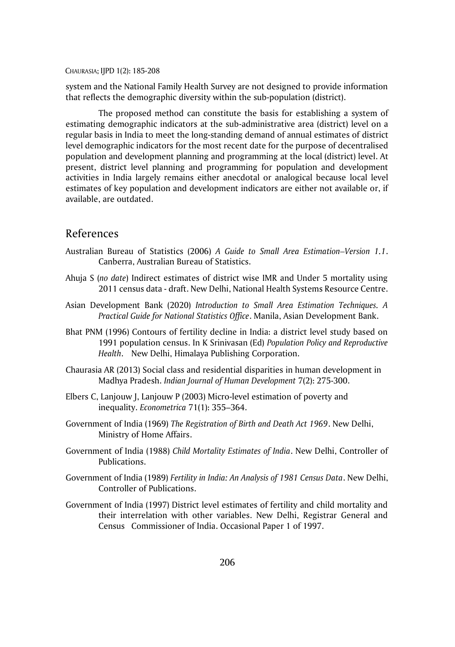system and the National Family Health Survey are not designed to provide information that reflects the demographic diversity within the sub-population (district).

The proposed method can constitute the basis for establishing a system of estimating demographic indicators at the sub-administrative area (district) level on a regular basis in India to meet the long-standing demand of annual estimates of district level demographic indicators for the most recent date for the purpose of decentralised population and development planning and programming at the local (district) level. At present, district level planning and programming for population and development activities in India largely remains either anecdotal or analogical because local level estimates of key population and development indicators are either not available or, if available, are outdated.

### References

- Australian Bureau of Statistics (2006) *A Guide to Small Area Estimation–Version 1.1*. Canberra, Australian Bureau of Statistics.
- Ahuja S (*no date*) Indirect estimates of district wise IMR and Under 5 mortality using 2011 census data - draft. New Delhi, National Health Systems Resource Centre.
- Asian Development Bank (2020) *Introduction to Small Area Estimation Techniques. A Practical Guide for National Statistics Office*. Manila, Asian Development Bank.
- Bhat PNM (1996) Contours of fertility decline in India: a district level study based on 1991 population census. In K Srinivasan (Ed) *Population Policy and Reproductive Health*. New Delhi, Himalaya Publishing Corporation.
- Chaurasia AR (2013) Social class and residential disparities in human development in Madhya Pradesh. *Indian Journal of Human Development* 7(2): 275-300.
- Elbers C, Lanjouw J, Lanjouw P (2003) Micro-level estimation of poverty and inequality. *Econometrica* 71(1): 355–364.
- Government of India (1969) *The Registration of Birth and Death Act 1969*. New Delhi, Ministry of Home Affairs.
- Government of India (1988) *Child Mortality Estimates of India*. New Delhi, Controller of Publications.
- Government of India (1989) *Fertility in India: An Analysis of 1981 Census Data*. New Delhi, Controller of Publications.
- Government of India (1997) District level estimates of fertility and child mortality and their interrelation with other variables. New Delhi, Registrar General and Census Commissioner of India. Occasional Paper 1 of 1997.